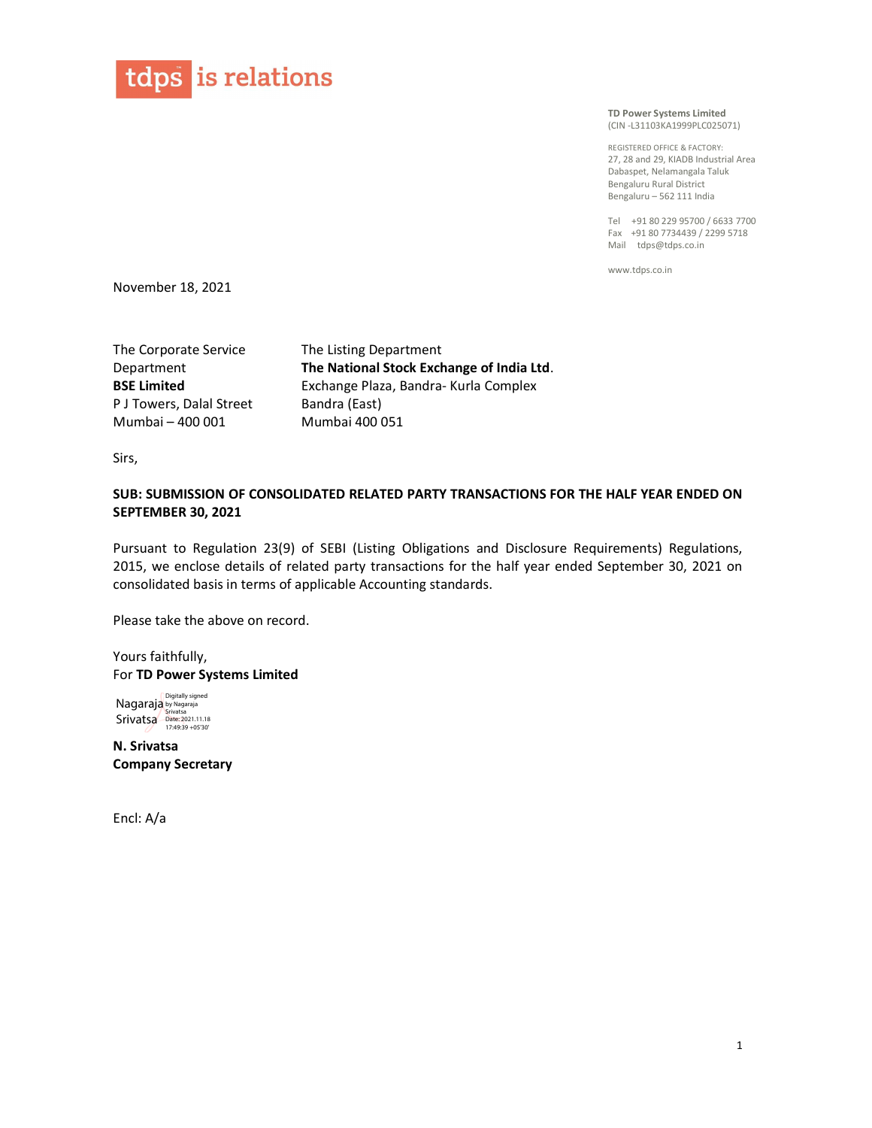

TD Power Systems Limited (CIN -L31103KA1999PLC025071)

REGISTERED OFFICE & FACTORY: 27, 28 and 29, KIADB Industrial Area Dabaspet, Nelamangala Taluk Bengaluru Rural District Bengaluru – 562 111 India

Tel +91 80 229 95700 / 6633 7700 Fax +91 80 7734439 / 2299 5718 Mail tdps@tdps.co.in

www.tdps.co.in

November 18, 2021

The Corporate Service Department BSE Limited P J Towers, Dalal Street Mumbai – 400 001

The Listing Department The National Stock Exchange of India Ltd. Exchange Plaza, Bandra- Kurla Complex Bandra (East) Mumbai 400 051

Sirs,

## SUB: SUBMISSION OF CONSOLIDATED RELATED PARTY TRANSACTIONS FOR THE HALF YEAR ENDED ON SEPTEMBER 30, 2021

Pursuant to Regulation 23(9) of SEBI (Listing Obligations and Disclosure Requirements) Regulations, 2015, we enclose details of related party transactions for the half year ended September 30, 2021 on consolidated basis in terms of applicable Accounting standards.

Please take the above on record.

Yours faithfully, For TD Power Systems Limited

Nagaraja **Srivatsa** Digitally signed by Nagaraja Srivatsa Date: 2021.11.18 17:49:39 +05'30'

N. Srivatsa Company Secretary

Encl: A/a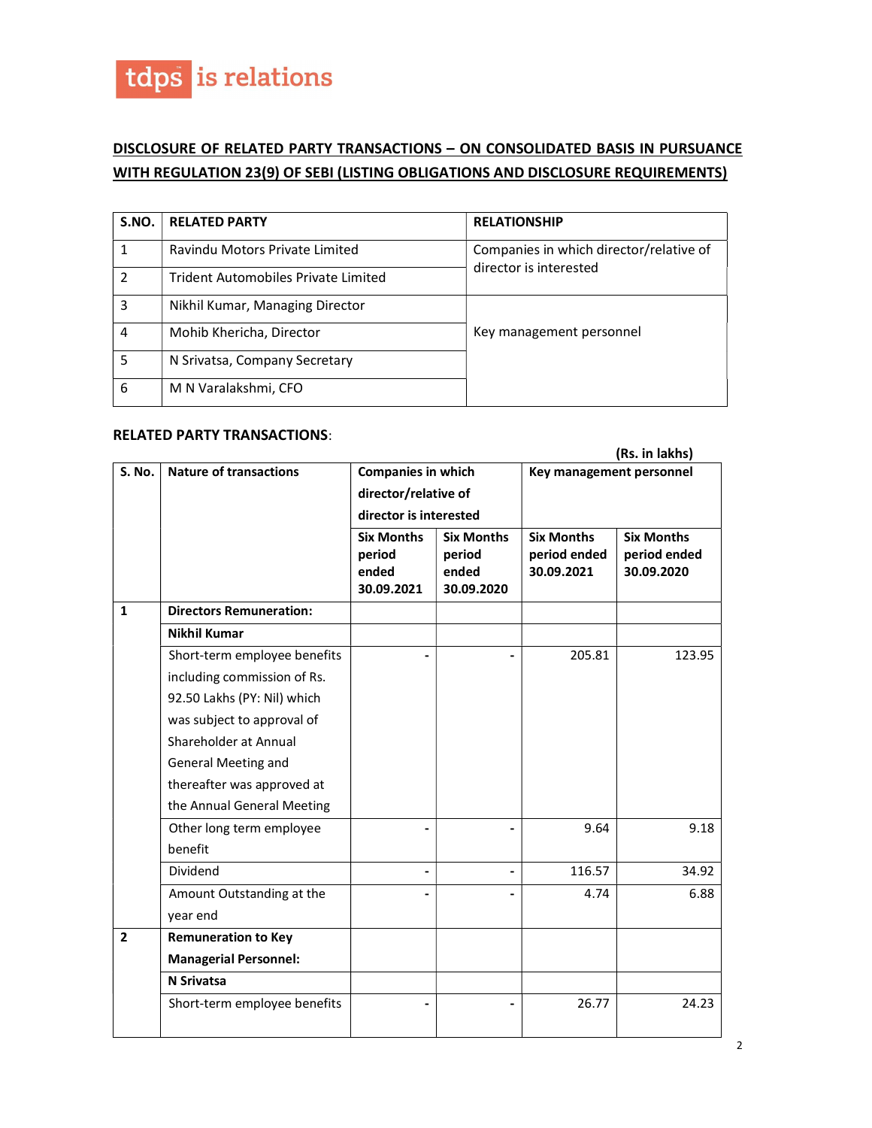

## DISCLOSURE OF RELATED PARTY TRANSACTIONS – ON CONSOLIDATED BASIS IN PURSUANCE WITH REGULATION 23(9) OF SEBI (LISTING OBLIGATIONS AND DISCLOSURE REQUIREMENTS)

| S.NO.         | <b>RELATED PARTY</b>                       | <b>RELATIONSHIP</b>                                               |  |
|---------------|--------------------------------------------|-------------------------------------------------------------------|--|
|               | Ravindu Motors Private Limited             | Companies in which director/relative of<br>director is interested |  |
| $\mathcal{P}$ | <b>Trident Automobiles Private Limited</b> |                                                                   |  |
| 3             | Nikhil Kumar, Managing Director            |                                                                   |  |
| 4             | Mohib Khericha, Director                   | Key management personnel                                          |  |
| 5             | N Srivatsa, Company Secretary              |                                                                   |  |
| 6             | M N Varalakshmi, CFO                       |                                                                   |  |

## RELATED PARTY TRANSACTIONS:

|                |                                | (Rs. in lakhs)                                                              |                                                    |                                                 |                                                 |  |
|----------------|--------------------------------|-----------------------------------------------------------------------------|----------------------------------------------------|-------------------------------------------------|-------------------------------------------------|--|
| S. No.         | <b>Nature of transactions</b>  | <b>Companies in which</b><br>director/relative of<br>director is interested |                                                    | Key management personnel                        |                                                 |  |
|                |                                | <b>Six Months</b><br>period<br>ended<br>30.09.2021                          | <b>Six Months</b><br>period<br>ended<br>30.09.2020 | <b>Six Months</b><br>period ended<br>30.09.2021 | <b>Six Months</b><br>period ended<br>30.09.2020 |  |
| $\mathbf{1}$   | <b>Directors Remuneration:</b> |                                                                             |                                                    |                                                 |                                                 |  |
|                | <b>Nikhil Kumar</b>            |                                                                             |                                                    |                                                 |                                                 |  |
|                | Short-term employee benefits   |                                                                             |                                                    | 205.81                                          | 123.95                                          |  |
|                | including commission of Rs.    |                                                                             |                                                    |                                                 |                                                 |  |
|                | 92.50 Lakhs (PY: Nil) which    |                                                                             |                                                    |                                                 |                                                 |  |
|                | was subject to approval of     |                                                                             |                                                    |                                                 |                                                 |  |
|                | Shareholder at Annual          |                                                                             |                                                    |                                                 |                                                 |  |
|                | General Meeting and            |                                                                             |                                                    |                                                 |                                                 |  |
|                | thereafter was approved at     |                                                                             |                                                    |                                                 |                                                 |  |
|                | the Annual General Meeting     |                                                                             |                                                    |                                                 |                                                 |  |
|                | Other long term employee       |                                                                             |                                                    | 9.64                                            | 9.18                                            |  |
|                | benefit                        |                                                                             |                                                    |                                                 |                                                 |  |
|                | Dividend                       |                                                                             |                                                    | 116.57                                          | 34.92                                           |  |
|                | Amount Outstanding at the      |                                                                             |                                                    | 4.74                                            | 6.88                                            |  |
|                | year end                       |                                                                             |                                                    |                                                 |                                                 |  |
| $\overline{2}$ | <b>Remuneration to Key</b>     |                                                                             |                                                    |                                                 |                                                 |  |
|                | <b>Managerial Personnel:</b>   |                                                                             |                                                    |                                                 |                                                 |  |
|                | <b>N</b> Srivatsa              |                                                                             |                                                    |                                                 |                                                 |  |
|                | Short-term employee benefits   |                                                                             |                                                    | 26.77                                           | 24.23                                           |  |
|                |                                |                                                                             |                                                    |                                                 |                                                 |  |

2